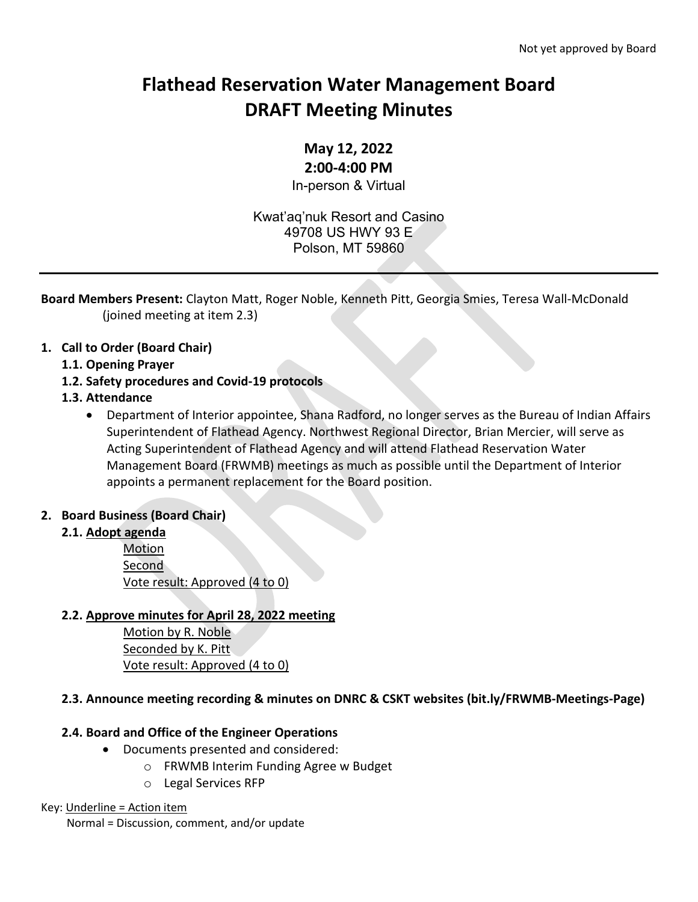# **Flathead Reservation Water Management Board DRAFT Meeting Minutes**

# **May 12, 2022**

#### **2:00-4:00 PM**

In-person & Virtual

Kwat'aq'nuk Resort and Casino 49708 US HWY 93 E Polson, MT 59860

**Board Members Present:** Clayton Matt, Roger Noble, Kenneth Pitt, Georgia Smies, Teresa Wall-McDonald (joined meeting at item 2.3)

## **1. Call to Order (Board Chair)**

- **1.1. Opening Prayer**
- **1.2. Safety procedures and Covid-19 protocols**

#### **1.3. Attendance**

• Department of Interior appointee, Shana Radford, no longer serves as the Bureau of Indian Affairs Superintendent of Flathead Agency. Northwest Regional Director, Brian Mercier, will serve as Acting Superintendent of Flathead Agency and will attend Flathead Reservation Water Management Board (FRWMB) meetings as much as possible until the Department of Interior appoints a permanent replacement for the Board position.

## **2. Board Business (Board Chair)**

#### **2.1. Adopt agenda**

Motion Second Vote result: Approved (4 to 0)

## **2.2. Approve minutes for April 28, 2022 meeting**

Motion by R. Noble Seconded by K. Pitt Vote result: Approved (4 to 0)

## **2.3. Announce meeting recording & minutes on DNRC & CSKT websites (bit.ly/FRWMB-Meetings-Page)**

## **2.4. Board and Office of the Engineer Operations**

- Documents presented and considered:
	- o FRWMB Interim Funding Agree w Budget
		- o Legal Services RFP

#### Key: Underline = Action item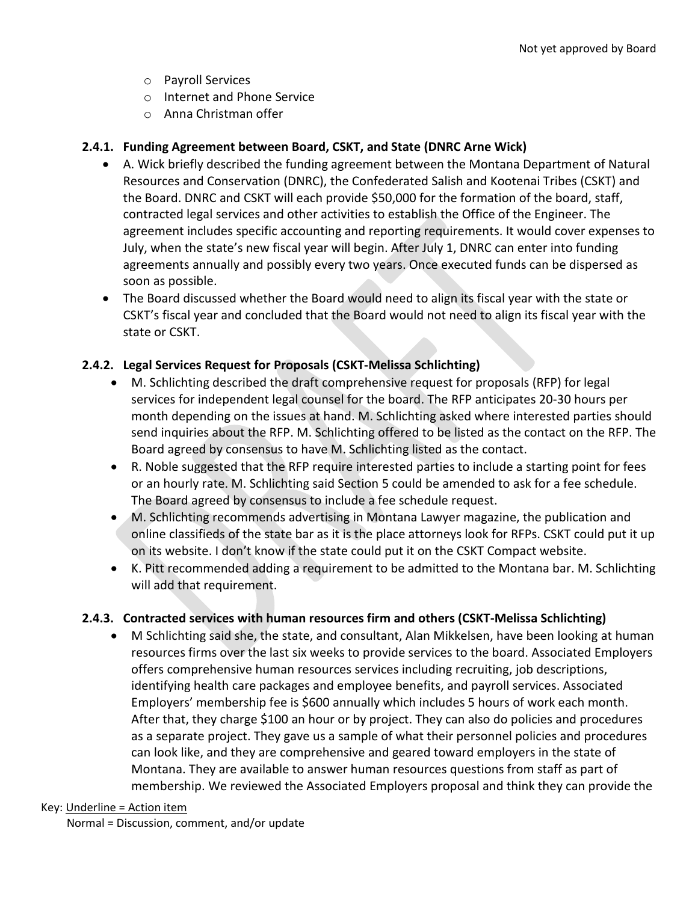- o Payroll Services
- o Internet and Phone Service
- o Anna Christman offer

#### **2.4.1. Funding Agreement between Board, CSKT, and State (DNRC Arne Wick)**

- A. Wick briefly described the funding agreement between the Montana Department of Natural Resources and Conservation (DNRC), the Confederated Salish and Kootenai Tribes (CSKT) and the Board. DNRC and CSKT will each provide \$50,000 for the formation of the board, staff, contracted legal services and other activities to establish the Office of the Engineer. The agreement includes specific accounting and reporting requirements. It would cover expenses to July, when the state's new fiscal year will begin. After July 1, DNRC can enter into funding agreements annually and possibly every two years. Once executed funds can be dispersed as soon as possible.
- The Board discussed whether the Board would need to align its fiscal year with the state or CSKT's fiscal year and concluded that the Board would not need to align its fiscal year with the state or CSKT.

#### **2.4.2. Legal Services Request for Proposals (CSKT-Melissa Schlichting)**

- M. Schlichting described the draft comprehensive request for proposals (RFP) for legal services for independent legal counsel for the board. The RFP anticipates 20-30 hours per month depending on the issues at hand. M. Schlichting asked where interested parties should send inquiries about the RFP. M. Schlichting offered to be listed as the contact on the RFP. The Board agreed by consensus to have M. Schlichting listed as the contact.
- R. Noble suggested that the RFP require interested parties to include a starting point for fees or an hourly rate. M. Schlichting said Section 5 could be amended to ask for a fee schedule. The Board agreed by consensus to include a fee schedule request.
- M. Schlichting recommends advertising in Montana Lawyer magazine, the publication and online classifieds of the state bar as it is the place attorneys look for RFPs. CSKT could put it up on its website. I don't know if the state could put it on the CSKT Compact website.
- K. Pitt recommended adding a requirement to be admitted to the Montana bar. M. Schlichting will add that requirement.

#### **2.4.3. Contracted services with human resources firm and others (CSKT-Melissa Schlichting)**

• M Schlichting said she, the state, and consultant, Alan Mikkelsen, have been looking at human resources firms over the last six weeks to provide services to the board. Associated Employers offers comprehensive human resources services including recruiting, job descriptions, identifying health care packages and employee benefits, and payroll services. Associated Employers' membership fee is \$600 annually which includes 5 hours of work each month. After that, they charge \$100 an hour or by project. They can also do policies and procedures as a separate project. They gave us a sample of what their personnel policies and procedures can look like, and they are comprehensive and geared toward employers in the state of Montana. They are available to answer human resources questions from staff as part of membership. We reviewed the Associated Employers proposal and think they can provide the

#### Key: Underline = Action item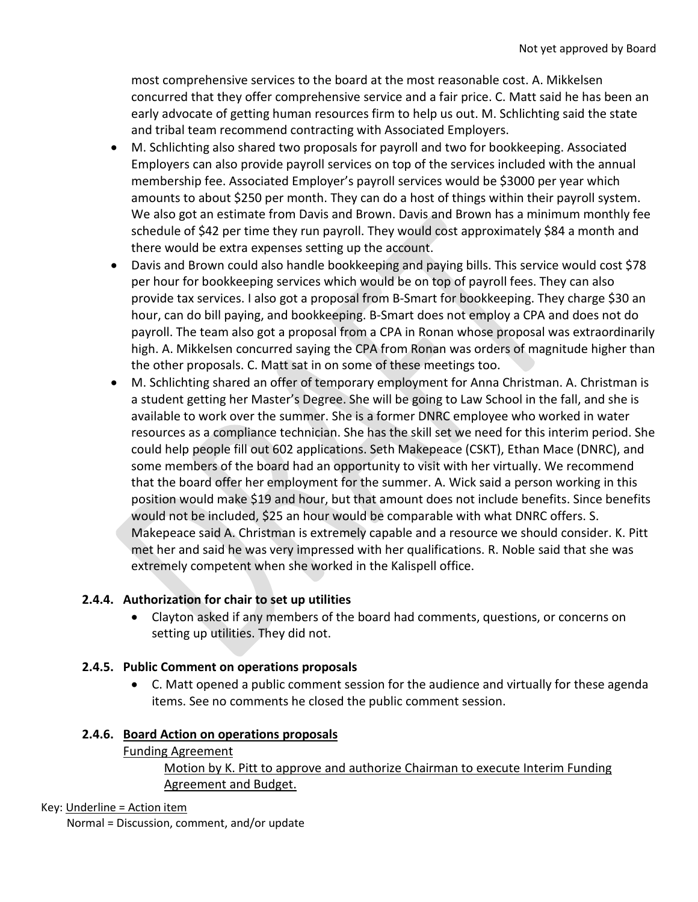most comprehensive services to the board at the most reasonable cost. A. Mikkelsen concurred that they offer comprehensive service and a fair price. C. Matt said he has been an early advocate of getting human resources firm to help us out. M. Schlichting said the state and tribal team recommend contracting with Associated Employers.

- M. Schlichting also shared two proposals for payroll and two for bookkeeping. Associated Employers can also provide payroll services on top of the services included with the annual membership fee. Associated Employer's payroll services would be \$3000 per year which amounts to about \$250 per month. They can do a host of things within their payroll system. We also got an estimate from Davis and Brown. Davis and Brown has a minimum monthly fee schedule of \$42 per time they run payroll. They would cost approximately \$84 a month and there would be extra expenses setting up the account.
- Davis and Brown could also handle bookkeeping and paying bills. This service would cost \$78 per hour for bookkeeping services which would be on top of payroll fees. They can also provide tax services. I also got a proposal from B-Smart for bookkeeping. They charge \$30 an hour, can do bill paying, and bookkeeping. B-Smart does not employ a CPA and does not do payroll. The team also got a proposal from a CPA in Ronan whose proposal was extraordinarily high. A. Mikkelsen concurred saying the CPA from Ronan was orders of magnitude higher than the other proposals. C. Matt sat in on some of these meetings too.
- M. Schlichting shared an offer of temporary employment for Anna Christman. A. Christman is a student getting her Master's Degree. She will be going to Law School in the fall, and she is available to work over the summer. She is a former DNRC employee who worked in water resources as a compliance technician. She has the skill set we need for this interim period. She could help people fill out 602 applications. Seth Makepeace (CSKT), Ethan Mace (DNRC), and some members of the board had an opportunity to visit with her virtually. We recommend that the board offer her employment for the summer. A. Wick said a person working in this position would make \$19 and hour, but that amount does not include benefits. Since benefits would not be included, \$25 an hour would be comparable with what DNRC offers. S. Makepeace said A. Christman is extremely capable and a resource we should consider. K. Pitt met her and said he was very impressed with her qualifications. R. Noble said that she was extremely competent when she worked in the Kalispell office.

# **2.4.4. Authorization for chair to set up utilities**

• Clayton asked if any members of the board had comments, questions, or concerns on setting up utilities. They did not.

## **2.4.5. Public Comment on operations proposals**

• C. Matt opened a public comment session for the audience and virtually for these agenda items. See no comments he closed the public comment session.

## **2.4.6. Board Action on operations proposals**

## Funding Agreement

# Motion by K. Pitt to approve and authorize Chairman to execute Interim Funding Agreement and Budget.

## Key: Underline = Action item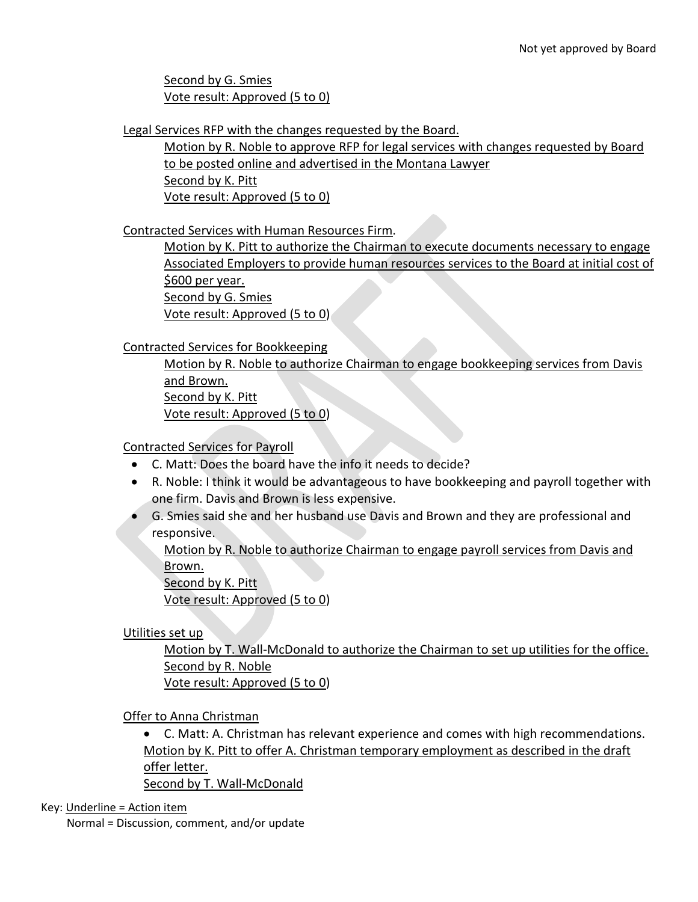Second by G. Smies Vote result: Approved (5 to 0)

Legal Services RFP with the changes requested by the Board.

Motion by R. Noble to approve RFP for legal services with changes requested by Board to be posted online and advertised in the Montana Lawyer Second by K. Pitt Vote result: Approved (5 to 0)

Contracted Services with Human Resources Firm.

Motion by K. Pitt to authorize the Chairman to execute documents necessary to engage Associated Employers to provide human resources services to the Board at initial cost of \$600 per year. Second by G. Smies Vote result: Approved (5 to 0)

Contracted Services for Bookkeeping

Motion by R. Noble to authorize Chairman to engage bookkeeping services from Davis and Brown. Second by K. Pitt Vote result: Approved (5 to 0)

Contracted Services for Payroll

- C. Matt: Does the board have the info it needs to decide?
- R. Noble: I think it would be advantageous to have bookkeeping and payroll together with one firm. Davis and Brown is less expensive.
- G. Smies said she and her husband use Davis and Brown and they are professional and responsive.

Motion by R. Noble to authorize Chairman to engage payroll services from Davis and Brown.

Second by K. Pitt

Vote result: Approved (5 to 0)

Utilities set up

Motion by T. Wall-McDonald to authorize the Chairman to set up utilities for the office. Second by R. Noble Vote result: Approved (5 to 0)

Offer to Anna Christman

• C. Matt: A. Christman has relevant experience and comes with high recommendations. Motion by K. Pitt to offer A. Christman temporary employment as described in the draft offer letter.

Second by T. Wall-McDonald

Key: Underline = Action item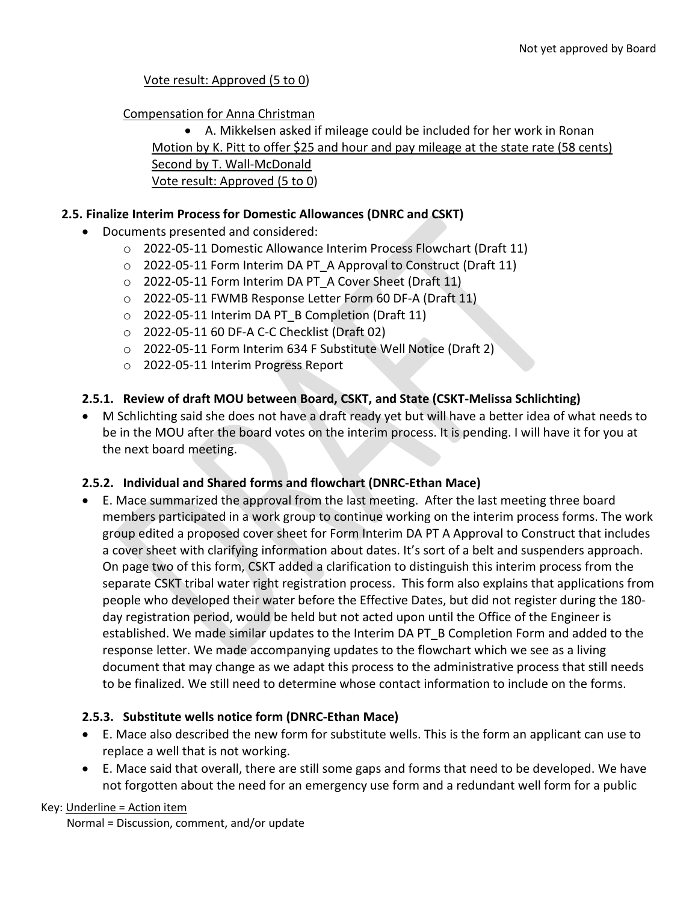Vote result: Approved (5 to 0)

Compensation for Anna Christman

• A. Mikkelsen asked if mileage could be included for her work in Ronan Motion by K. Pitt to offer \$25 and hour and pay mileage at the state rate (58 cents) Second by T. Wall-McDonald Vote result: Approved (5 to 0)

#### **2.5. Finalize Interim Process for Domestic Allowances (DNRC and CSKT)**

- Documents presented and considered:
	- $\circ$  2022-05-11 Domestic Allowance Interim Process Flowchart (Draft 11)
	- o 2022-05-11 Form Interim DA PT\_A Approval to Construct (Draft 11)
	- o 2022-05-11 Form Interim DA PT\_A Cover Sheet (Draft 11)
	- o 2022-05-11 FWMB Response Letter Form 60 DF-A (Draft 11)
	- o 2022-05-11 Interim DA PT\_B Completion (Draft 11)
	- o 2022-05-11 60 DF-A C-C Checklist (Draft 02)
	- o 2022-05-11 Form Interim 634 F Substitute Well Notice (Draft 2)
	- o 2022-05-11 Interim Progress Report

## **2.5.1. Review of draft MOU between Board, CSKT, and State (CSKT-Melissa Schlichting)**

• M Schlichting said she does not have a draft ready yet but will have a better idea of what needs to be in the MOU after the board votes on the interim process. It is pending. I will have it for you at the next board meeting.

## **2.5.2. Individual and Shared forms and flowchart (DNRC-Ethan Mace)**

• E. Mace summarized the approval from the last meeting. After the last meeting three board members participated in a work group to continue working on the interim process forms. The work group edited a proposed cover sheet for Form Interim DA PT A Approval to Construct that includes a cover sheet with clarifying information about dates. It's sort of a belt and suspenders approach. On page two of this form, CSKT added a clarification to distinguish this interim process from the separate CSKT tribal water right registration process. This form also explains that applications from people who developed their water before the Effective Dates, but did not register during the 180 day registration period, would be held but not acted upon until the Office of the Engineer is established. We made similar updates to the Interim DA PT\_B Completion Form and added to the response letter. We made accompanying updates to the flowchart which we see as a living document that may change as we adapt this process to the administrative process that still needs to be finalized. We still need to determine whose contact information to include on the forms.

## **2.5.3. Substitute wells notice form (DNRC-Ethan Mace)**

- E. Mace also described the new form for substitute wells. This is the form an applicant can use to replace a well that is not working.
- E. Mace said that overall, there are still some gaps and forms that need to be developed. We have not forgotten about the need for an emergency use form and a redundant well form for a public

#### Key: Underline = Action item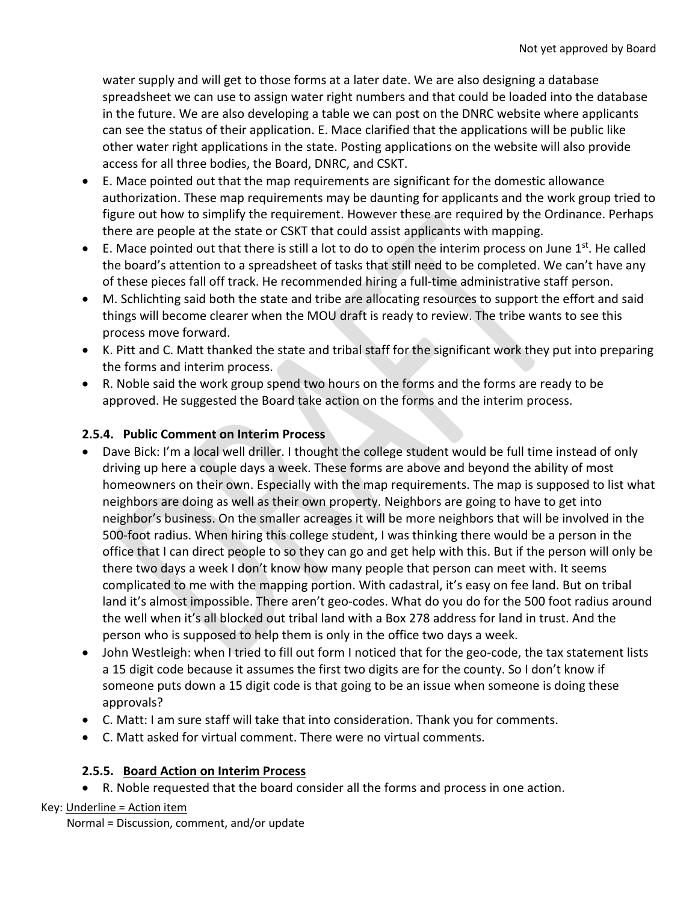water supply and will get to those forms at a later date. We are also designing a database spreadsheet we can use to assign water right numbers and that could be loaded into the database in the future. We are also developing a table we can post on the DNRC website where applicants can see the status of their application. E. Mace clarified that the applications will be public like other water right applications in the state. Posting applications on the website will also provide access for all three bodies, the Board, DNRC, and CSKT.

- E. Mace pointed out that the map requirements are significant for the domestic allowance authorization. These map requirements may be daunting for applicants and the work group tried to figure out how to simplify the requirement. However these are required by the Ordinance. Perhaps there are people at the state or CSKT that could assist applicants with mapping.
- $\bullet$  E. Mace pointed out that there is still a lot to do to open the interim process on June 1st. He called the board's attention to a spreadsheet of tasks that still need to be completed. We can't have any of these pieces fall off track. He recommended hiring a full-time administrative staff person.
- M. Schlichting said both the state and tribe are allocating resources to support the effort and said things will become clearer when the MOU draft is ready to review. The tribe wants to see this process move forward.
- K. Pitt and C. Matt thanked the state and tribal staff for the significant work they put into preparing the forms and interim process.
- R. Noble said the work group spend two hours on the forms and the forms are ready to be approved. He suggested the Board take action on the forms and the interim process.

## **2.5.4. Public Comment on Interim Process**

- Dave Bick: I'm a local well driller. I thought the college student would be full time instead of only driving up here a couple days a week. These forms are above and beyond the ability of most homeowners on their own. Especially with the map requirements. The map is supposed to list what neighbors are doing as well as their own property. Neighbors are going to have to get into neighbor's business. On the smaller acreages it will be more neighbors that will be involved in the 500-foot radius. When hiring this college student, I was thinking there would be a person in the office that I can direct people to so they can go and get help with this. But if the person will only be there two days a week I don't know how many people that person can meet with. It seems complicated to me with the mapping portion. With cadastral, it's easy on fee land. But on tribal land it's almost impossible. There aren't geo-codes. What do you do for the 500 foot radius around the well when it's all blocked out tribal land with a Box 278 address for land in trust. And the person who is supposed to help them is only in the office two days a week.
- John Westleigh: when I tried to fill out form I noticed that for the geo-code, the tax statement lists a 15 digit code because it assumes the first two digits are for the county. So I don't know if someone puts down a 15 digit code is that going to be an issue when someone is doing these approvals?
- C. Matt: I am sure staff will take that into consideration. Thank you for comments.
- C. Matt asked for virtual comment. There were no virtual comments.

# **2.5.5. Board Action on Interim Process**

• R. Noble requested that the board consider all the forms and process in one action.

Key: Underline = Action item Normal = Discussion, comment, and/or update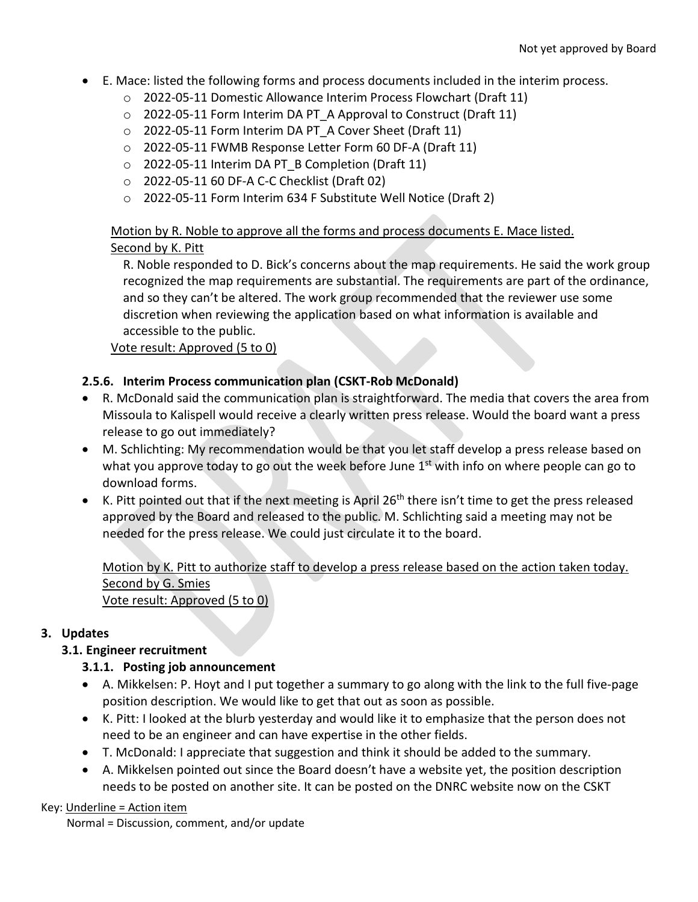- E. Mace: listed the following forms and process documents included in the interim process.
	- o 2022-05-11 Domestic Allowance Interim Process Flowchart (Draft 11)
	- o 2022-05-11 Form Interim DA PT\_A Approval to Construct (Draft 11)
	- o 2022-05-11 Form Interim DA PT\_A Cover Sheet (Draft 11)
	- o 2022-05-11 FWMB Response Letter Form 60 DF-A (Draft 11)
	- o 2022-05-11 Interim DA PT\_B Completion (Draft 11)
	- o 2022-05-11 60 DF-A C-C Checklist (Draft 02)
	- o 2022-05-11 Form Interim 634 F Substitute Well Notice (Draft 2)

# Motion by R. Noble to approve all the forms and process documents E. Mace listed. Second by K. Pitt

R. Noble responded to D. Bick's concerns about the map requirements. He said the work group recognized the map requirements are substantial. The requirements are part of the ordinance, and so they can't be altered. The work group recommended that the reviewer use some discretion when reviewing the application based on what information is available and accessible to the public.

Vote result: Approved (5 to 0)

# **2.5.6. Interim Process communication plan (CSKT-Rob McDonald)**

- R. McDonald said the communication plan is straightforward. The media that covers the area from Missoula to Kalispell would receive a clearly written press release. Would the board want a press release to go out immediately?
- M. Schlichting: My recommendation would be that you let staff develop a press release based on what you approve today to go out the week before June 1<sup>st</sup> with info on where people can go to download forms.
- K. Pitt pointed out that if the next meeting is April 26<sup>th</sup> there isn't time to get the press released approved by the Board and released to the public. M. Schlichting said a meeting may not be needed for the press release. We could just circulate it to the board.

## Motion by K. Pitt to authorize staff to develop a press release based on the action taken today. Second by G. Smies Vote result: Approved (5 to 0)

# **3. Updates**

# **3.1. Engineer recruitment**

# **3.1.1. Posting job announcement**

- A. Mikkelsen: P. Hoyt and I put together a summary to go along with the link to the full five-page position description. We would like to get that out as soon as possible.
- K. Pitt: I looked at the blurb yesterday and would like it to emphasize that the person does not need to be an engineer and can have expertise in the other fields.
- T. McDonald: I appreciate that suggestion and think it should be added to the summary.
- A. Mikkelsen pointed out since the Board doesn't have a website yet, the position description needs to be posted on another site. It can be posted on the DNRC website now on the CSKT

# Key: Underline = Action item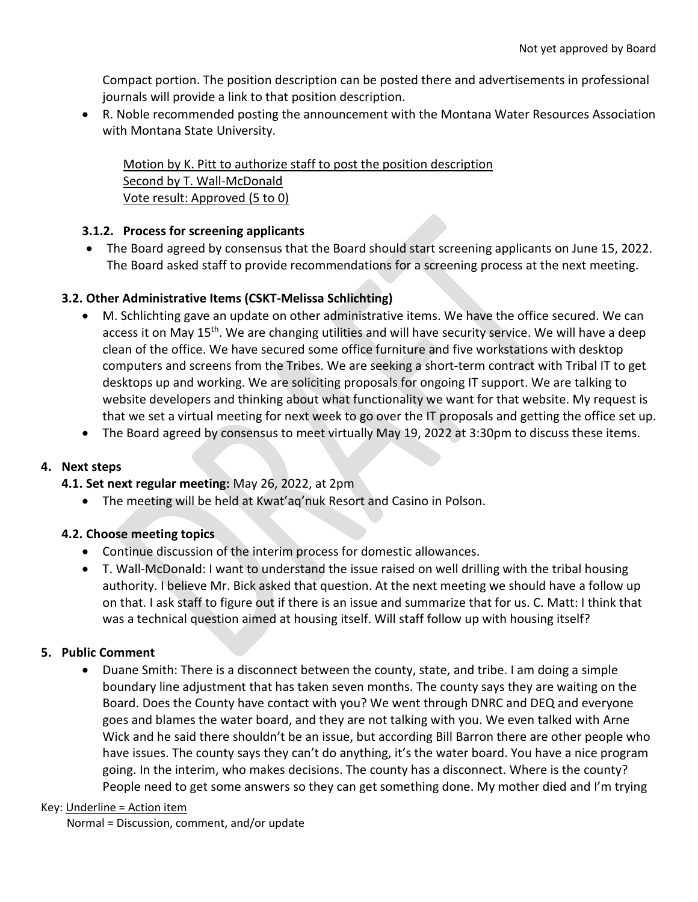Compact portion. The position description can be posted there and advertisements in professional journals will provide a link to that position description.

• R. Noble recommended posting the announcement with the Montana Water Resources Association with Montana State University.

Motion by K. Pitt to authorize staff to post the position description Second by T. Wall-McDonald Vote result: Approved (5 to 0)

## **3.1.2. Process for screening applicants**

• The Board agreed by consensus that the Board should start screening applicants on June 15, 2022. The Board asked staff to provide recommendations for a screening process at the next meeting.

## **3.2. Other Administrative Items (CSKT-Melissa Schlichting)**

- M. Schlichting gave an update on other administrative items. We have the office secured. We can access it on May 15<sup>th</sup>. We are changing utilities and will have security service. We will have a deep clean of the office. We have secured some office furniture and five workstations with desktop computers and screens from the Tribes. We are seeking a short-term contract with Tribal IT to get desktops up and working. We are soliciting proposals for ongoing IT support. We are talking to website developers and thinking about what functionality we want for that website. My request is that we set a virtual meeting for next week to go over the IT proposals and getting the office set up.
- The Board agreed by consensus to meet virtually May 19, 2022 at 3:30pm to discuss these items.

## **4. Next steps**

- **4.1. Set next regular meeting:** May 26, 2022, at 2pm
	- The meeting will be held at Kwat'aq'nuk Resort and Casino in Polson.

## **4.2. Choose meeting topics**

- Continue discussion of the interim process for domestic allowances.
- T. Wall-McDonald: I want to understand the issue raised on well drilling with the tribal housing authority. I believe Mr. Bick asked that question. At the next meeting we should have a follow up on that. I ask staff to figure out if there is an issue and summarize that for us. C. Matt: I think that was a technical question aimed at housing itself. Will staff follow up with housing itself?

#### **5. Public Comment**

• Duane Smith: There is a disconnect between the county, state, and tribe. I am doing a simple boundary line adjustment that has taken seven months. The county says they are waiting on the Board. Does the County have contact with you? We went through DNRC and DEQ and everyone goes and blames the water board, and they are not talking with you. We even talked with Arne Wick and he said there shouldn't be an issue, but according Bill Barron there are other people who have issues. The county says they can't do anything, it's the water board. You have a nice program going. In the interim, who makes decisions. The county has a disconnect. Where is the county? People need to get some answers so they can get something done. My mother died and I'm trying

#### Key: Underline = Action item